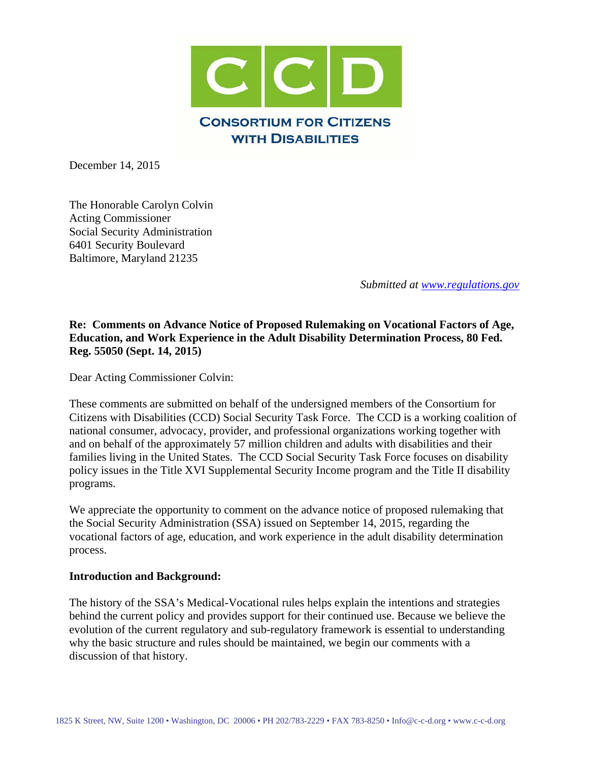

December 14, 2015

The Honorable Carolyn Colvin Acting Commissioner Social Security Administration 6401 Security Boulevard Baltimore, Maryland 21235

*Submitted at [www.regulations.gov](http://www.regulations.gov/)*

## **Re: Comments on Advance Notice of Proposed Rulemaking on Vocational Factors of Age, Education, and Work Experience in the Adult Disability Determination Process, 80 Fed. Reg. 55050 (Sept. 14, 2015)**

Dear Acting Commissioner Colvin:

These comments are submitted on behalf of the undersigned members of the Consortium for Citizens with Disabilities (CCD) Social Security Task Force. The CCD is a working coalition of national consumer, advocacy, provider, and professional organizations working together with and on behalf of the approximately 57 million children and adults with disabilities and their families living in the United States. The CCD Social Security Task Force focuses on disability policy issues in the Title XVI Supplemental Security Income program and the Title II disability programs.

We appreciate the opportunity to comment on the advance notice of proposed rulemaking that the Social Security Administration (SSA) issued on September 14, 2015, regarding the vocational factors of age, education, and work experience in the adult disability determination process.

#### **Introduction and Background:**

The history of the SSA's Medical-Vocational rules helps explain the intentions and strategies behind the current policy and provides support for their continued use. Because we believe the evolution of the current regulatory and sub-regulatory framework is essential to understanding why the basic structure and rules should be maintained, we begin our comments with a discussion of that history.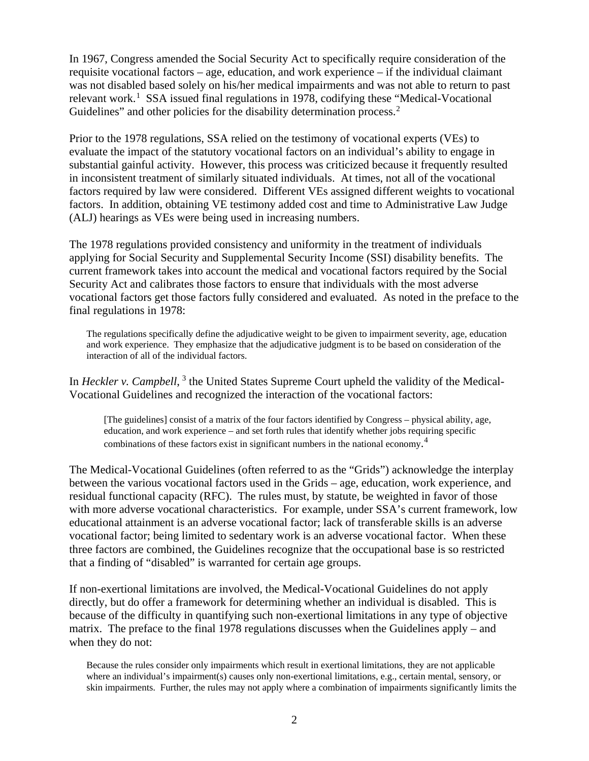In 1967, Congress amended the Social Security Act to specifically require consideration of the requisite vocational factors – age, education, and work experience – if the individual claimant was not disabled based solely on his/her medical impairments and was not able to return to past relevant work.<sup>[1](#page-2-0)</sup> SSA issued final regulations in 1978, codifying these "Medical-Vocational Guidelines" and other policies for the disability determination process.<sup>[2](#page-2-1)</sup>

Prior to the 1978 regulations, SSA relied on the testimony of vocational experts (VEs) to evaluate the impact of the statutory vocational factors on an individual's ability to engage in substantial gainful activity. However, this process was criticized because it frequently resulted in inconsistent treatment of similarly situated individuals. At times, not all of the vocational factors required by law were considered. Different VEs assigned different weights to vocational factors. In addition, obtaining VE testimony added cost and time to Administrative Law Judge (ALJ) hearings as VEs were being used in increasing numbers.

The 1978 regulations provided consistency and uniformity in the treatment of individuals applying for Social Security and Supplemental Security Income (SSI) disability benefits. The current framework takes into account the medical and vocational factors required by the Social Security Act and calibrates those factors to ensure that individuals with the most adverse vocational factors get those factors fully considered and evaluated. As noted in the preface to the final regulations in 1978:

The regulations specifically define the adjudicative weight to be given to impairment severity, age, education and work experience. They emphasize that the adjudicative judgment is to be based on consideration of the interaction of all of the individual factors.

In *Heckler v. Campbell*, <sup>[3](#page-2-2)</sup> the United States Supreme Court upheld the validity of the Medical-Vocational Guidelines and recognized the interaction of the vocational factors:

[The guidelines] consist of a matrix of the four factors identified by Congress – physical ability, age, education, and work experience – and set forth rules that identify whether jobs requiring specific combinations of these factors exist in significant numbers in the national economy.<sup>[4](#page-2-3)</sup>

The Medical-Vocational Guidelines (often referred to as the "Grids") acknowledge the interplay between the various vocational factors used in the Grids – age, education, work experience, and residual functional capacity (RFC). The rules must, by statute, be weighted in favor of those with more adverse vocational characteristics. For example, under SSA's current framework, low educational attainment is an adverse vocational factor; lack of transferable skills is an adverse vocational factor; being limited to sedentary work is an adverse vocational factor. When these three factors are combined, the Guidelines recognize that the occupational base is so restricted that a finding of "disabled" is warranted for certain age groups.

If non-exertional limitations are involved, the Medical-Vocational Guidelines do not apply directly, but do offer a framework for determining whether an individual is disabled. This is because of the difficulty in quantifying such non-exertional limitations in any type of objective matrix. The preface to the final 1978 regulations discusses when the Guidelines apply – and when they do not:

Because the rules consider only impairments which result in exertional limitations, they are not applicable where an individual's impairment(s) causes only non-exertional limitations, e.g., certain mental, sensory, or skin impairments. Further, the rules may not apply where a combination of impairments significantly limits the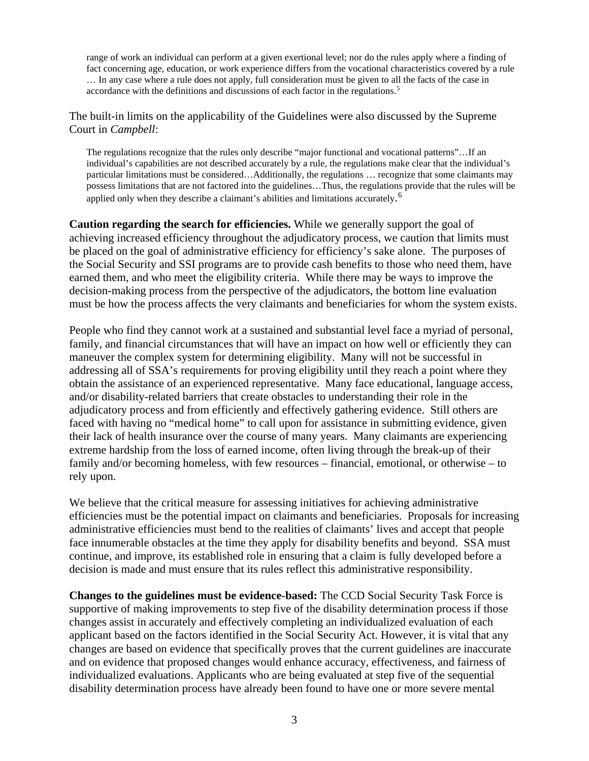range of work an individual can perform at a given exertional level; nor do the rules apply where a finding of fact concerning age, education, or work experience differs from the vocational characteristics covered by a rule … In any case where a rule does not apply, full consideration must be given to all the facts of the case in accordance with the definitions and discussions of each factor in the regulations.<sup>[5](#page-2-4)</sup>

<span id="page-2-6"></span><span id="page-2-5"></span><span id="page-2-4"></span><span id="page-2-3"></span><span id="page-2-2"></span><span id="page-2-1"></span><span id="page-2-0"></span>The built-in limits on the applicability of the Guidelines were also discussed by the Supreme Court in *Campbell*:

The regulations recognize that the rules only describe "major functional and vocational patterns"…If an individual's capabilities are not described accurately by a rule, the regulations make clear that the individual's particular limitations must be considered…Additionally, the regulations … recognize that some claimants may possess limitations that are not factored into the guidelines…Thus, the regulations provide that the rules will be applied only when they describe a claimant's abilities and limitations accurately.<sup>[6](#page-2-5)</sup>

<span id="page-2-11"></span><span id="page-2-10"></span><span id="page-2-9"></span><span id="page-2-8"></span><span id="page-2-7"></span>**Caution regarding the search for efficiencies.** While we generally support the goal of achieving increased efficiency throughout the adjudicatory process, we caution that limits must be placed on the goal of administrative efficiency for efficiency's sake alone. The purposes of the Social Security and SSI programs are to provide cash benefits to those who need them, have earned them, and who meet the eligibility criteria. While there may be ways to improve the decision-making process from the perspective of the adjudicators, the bottom line evaluation must be how the process affects the very claimants and beneficiaries for whom the system exists.

<span id="page-2-17"></span><span id="page-2-16"></span><span id="page-2-15"></span><span id="page-2-14"></span><span id="page-2-13"></span><span id="page-2-12"></span>People who find they cannot work at a sustained and substantial level face a myriad of personal, family, and financial circumstances that will have an impact on how well or efficiently they can maneuver the complex system for determining eligibility. Many will not be successful in addressing all of SSA's requirements for proving eligibility until they reach a point where they obtain the assistance of an experienced representative. Many face educational, language access, and/or disability-related barriers that create obstacles to understanding their role in the adjudicatory process and from efficiently and effectively gathering evidence. Still others are faced with having no "medical home" to call upon for assistance in submitting evidence, given their lack of health insurance over the course of many years. Many claimants are experiencing extreme hardship from the loss of earned income, often living through the break-up of their family and/or becoming homeless, with few resources – financial, emotional, or otherwise – to rely upon.

<span id="page-2-22"></span><span id="page-2-21"></span><span id="page-2-20"></span><span id="page-2-19"></span><span id="page-2-18"></span>We believe that the critical measure for assessing initiatives for achieving administrative efficiencies must be the potential impact on claimants and beneficiaries. Proposals for increasing administrative efficiencies must bend to the realities of claimants' lives and accept that people face innumerable obstacles at the time they apply for disability benefits and beyond. SSA must continue, and improve, its established role in ensuring that a claim is fully developed before a decision is made and must ensure that its rules reflect this administrative responsibility.

<span id="page-2-27"></span><span id="page-2-26"></span><span id="page-2-25"></span><span id="page-2-24"></span><span id="page-2-23"></span>**Changes to the guidelines must be evidence-based:** The CCD Social Security Task Force is supportive of making improvements to step five of the disability determination process if those changes assist in accurately and effectively completing an individualized evaluation of each applicant based on the factors identified in the Social Security Act. However, it is vital that any changes are based on evidence that specifically proves that the current guidelines are inaccurate and on evidence that proposed changes would enhance accuracy, effectiveness, and fairness of individualized evaluations. Applicants who are being evaluated at step five of the sequential disability determination process have already been found to have one or more severe mental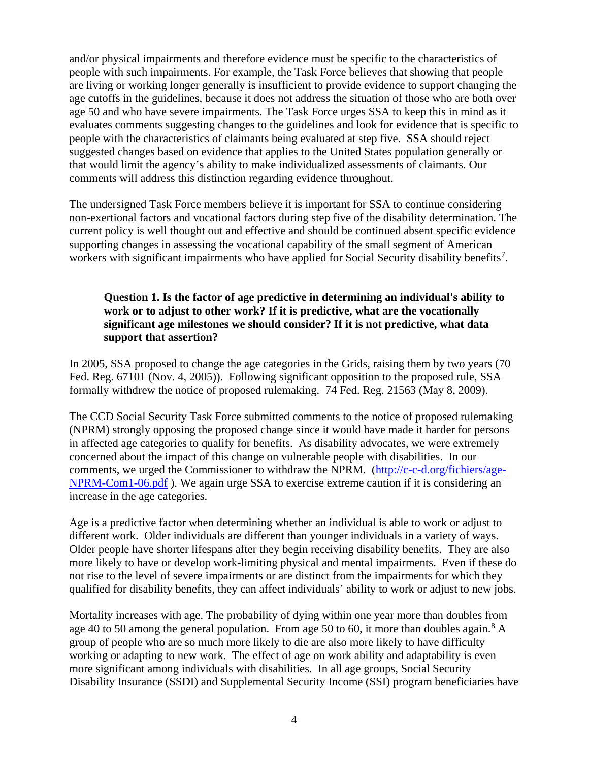<span id="page-3-0"></span>and/or physical impairments and therefore evidence must be specific to the characteristics of people with such impairments. For example, the Task Force believes that showing that people are living or working longer generally is insufficient to provide evidence to support changing the age cutoffs in the guidelines, because it does not address the situation of those who are both over age 50 and who have severe impairments. The Task Force urges SSA to keep this in mind as it evaluates comments suggesting changes to the guidelines and look for evidence that is specific to people with the characteristics of claimants being evaluated at step five. SSA should reject suggested changes based on evidence that applies to the United States population generally or that would limit the agency's ability to make individualized assessments of claimants. Our comments will address this distinction regarding evidence throughout.

<span id="page-3-7"></span><span id="page-3-6"></span><span id="page-3-5"></span><span id="page-3-4"></span><span id="page-3-3"></span><span id="page-3-2"></span><span id="page-3-1"></span>The undersigned Task Force members believe it is important for SSA to continue considering non-exertional factors and vocational factors during step five of the disability determination. The current policy is well thought out and effective and should be continued absent specific evidence supporting changes in assessing the vocational capability of the small segment of American workers with significant impairments who have applied for Social Security disability benefits<sup>[7](#page-2-6)</sup>.

## <span id="page-3-8"></span>**Question 1. Is the factor of age predictive in determining an individual's ability to work or to adjust to other work? If it is predictive, what are the vocationally significant age milestones we should consider? If it is not predictive, what data support that assertion?**

<span id="page-3-13"></span><span id="page-3-12"></span><span id="page-3-11"></span><span id="page-3-10"></span><span id="page-3-9"></span>In 2005, SSA proposed to change the age categories in the Grids, raising them by two years (70 Fed. Reg. 67101 (Nov. 4, 2005)). Following significant opposition to the proposed rule, SSA formally withdrew the notice of proposed rulemaking. 74 Fed. Reg. 21563 (May 8, 2009).

<span id="page-3-14"></span>The CCD Social Security Task Force submitted comments to the notice of proposed rulemaking (NPRM) strongly opposing the proposed change since it would have made it harder for persons in affected age categories to qualify for benefits. As disability advocates, we were extremely concerned about the impact of this change on vulnerable people with disabilities. In our comments, we urged the Commissioner to withdraw the NPRM. [\(http://c-c-d.org/fichiers/age-](http://c-c-d.org/fichiers/age-NPRM-Com1-06.pdf)[NPRM-Com1-06.pdf](http://c-c-d.org/fichiers/age-NPRM-Com1-06.pdf) ). We again urge SSA to exercise extreme caution if it is considering an increase in the age categories.

<span id="page-3-18"></span><span id="page-3-17"></span><span id="page-3-16"></span><span id="page-3-15"></span>Age is a predictive factor when determining whether an individual is able to work or adjust to different work. Older individuals are different than younger individuals in a variety of ways. Older people have shorter lifespans after they begin receiving disability benefits. They are also more likely to have or develop work-limiting physical and mental impairments. Even if these do not rise to the level of severe impairments or are distinct from the impairments for which they qualified for disability benefits, they can affect individuals' ability to work or adjust to new jobs.

<span id="page-3-20"></span><span id="page-3-19"></span>Mortality increases with age. The probability of dying within one year more than doubles from age 40 to 50 among the general population. From age 50 to 60, it more than doubles again.<sup>[8](#page-2-7)</sup> A group of people who are so much more likely to die are also more likely to have difficulty working or adapting to new work. The effect of age on work ability and adaptability is even more significant among individuals with disabilities. In all age groups, Social Security Disability Insurance (SSDI) and Supplemental Security Income (SSI) program beneficiaries have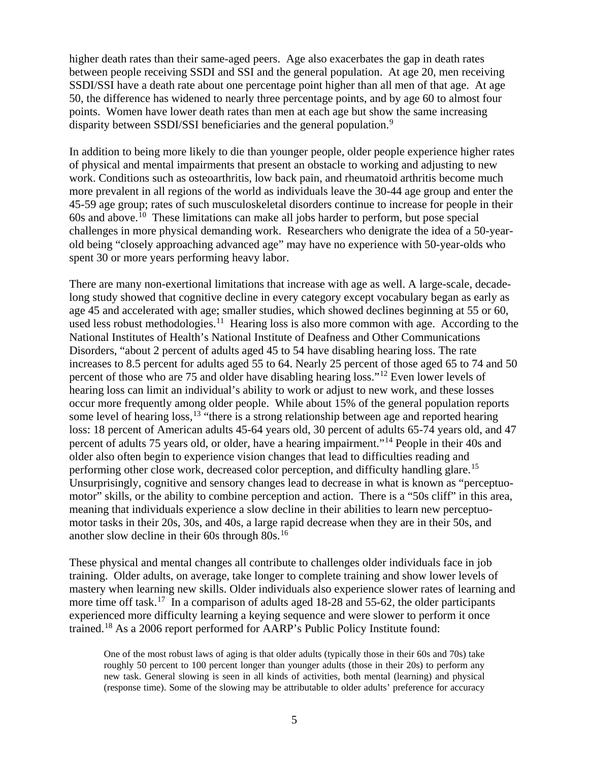higher death rates than their same-aged peers. Age also exacerbates the gap in death rates between people receiving SSDI and SSI and the general population. At age 20, men receiving SSDI/SSI have a death rate about one percentage point higher than all men of that age. At age 50, the difference has widened to nearly three percentage points, and by age 60 to almost four points. Women have lower death rates than men at each age but show the same increasing disparity between SSDI/SSI beneficiaries and the general population.<sup>[9](#page-2-8)</sup>

In addition to being more likely to die than younger people, older people experience higher rates of physical and mental impairments that present an obstacle to working and adjusting to new work. Conditions such as osteoarthritis, low back pain, and rheumatoid arthritis become much more prevalent in all regions of the world as individuals leave the 30-44 age group and enter the 45-59 age group; rates of such musculoskeletal disorders continue to increase for people in their  $60s$  and above.<sup>[10](#page-2-9)</sup> These limitations can make all jobs harder to perform, but pose special challenges in more physical demanding work. Researchers who denigrate the idea of a 50-yearold being "closely approaching advanced age" may have no experience with 50-year-olds who spent 30 or more years performing heavy labor.

There are many non-exertional limitations that increase with age as well. A large-scale, decadelong study showed that cognitive decline in every category except vocabulary began as early as age 45 and accelerated with age; smaller studies, which showed declines beginning at 55 or 60, used less robust methodologies.<sup>[11](#page-2-10)</sup> Hearing loss is also more common with age. According to the National Institutes of Health's National Institute of Deafness and Other Communications Disorders, "about 2 percent of adults aged 45 to 54 have disabling hearing loss. The rate increases to 8.5 percent for adults aged 55 to 64. Nearly 25 percent of those aged 65 to 74 and 50 percent of those who are 75 and older have disabling hearing loss."[12](#page-2-11) Even lower levels of hearing loss can limit an individual's ability to work or adjust to new work, and these losses occur more frequently among older people. While about 15% of the general population reports some level of hearing loss,<sup>[13](#page-2-12)</sup> "there is a strong relationship between age and reported hearing loss: 18 percent of American adults 45-64 years old, 30 percent of adults 65-74 years old, and 47 percent of adults 75 years old, or older, have a hearing impairment."[14](#page-2-13) People in their 40s and older also often begin to experience vision changes that lead to difficulties reading and performing other close work, decreased color perception, and difficulty handling glare.<sup>[15](#page-2-14)</sup> Unsurprisingly, cognitive and sensory changes lead to decrease in what is known as "perceptuomotor" skills, or the ability to combine perception and action. There is a "50s cliff" in this area, meaning that individuals experience a slow decline in their abilities to learn new perceptuomotor tasks in their 20s, 30s, and 40s, a large rapid decrease when they are in their 50s, and another slow decline in their 60s through 80s.[16](#page-2-15)

These physical and mental changes all contribute to challenges older individuals face in job training. Older adults, on average, take longer to complete training and show lower levels of mastery when learning new skills. Older individuals also experience slower rates of learning and more time off task.<sup>17</sup> In a comparison of adults aged 18-28 and 55-62, the older participants experienced more difficulty learning a keying sequence and were slower to perform it once trained.[18](#page-2-17) As a 2006 report performed for AARP's Public Policy Institute found:

One of the most robust laws of aging is that older adults (typically those in their 60s and 70s) take roughly 50 percent to 100 percent longer than younger adults (those in their 20s) to perform any new task. General slowing is seen in all kinds of activities, both mental (learning) and physical (response time). Some of the slowing may be attributable to older adults' preference for accuracy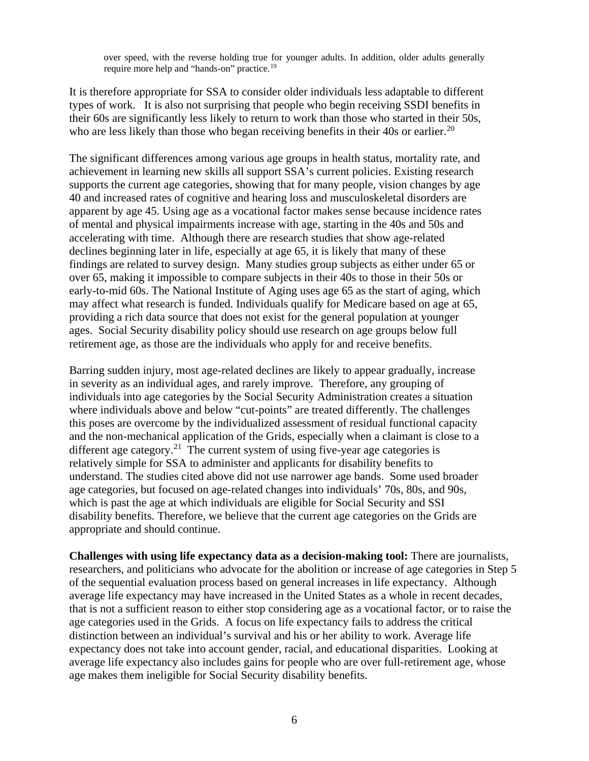over speed, with the reverse holding true for younger adults. In addition, older adults generally require more help and "hands-on" practice.[19](#page-2-18)

It is therefore appropriate for SSA to consider older individuals less adaptable to different types of work. It is also not surprising that people who begin receiving SSDI benefits in their 60s are significantly less likely to return to work than those who started in their 50s, who are less likely than those who began receiving benefits in their 40s or earlier.<sup>[20](#page-2-19)</sup>

The significant differences among various age groups in health status, mortality rate, and achievement in learning new skills all support SSA's current policies. Existing research supports the current age categories, showing that for many people, vision changes by age 40 and increased rates of cognitive and hearing loss and musculoskeletal disorders are apparent by age 45. Using age as a vocational factor makes sense because incidence rates of mental and physical impairments increase with age, starting in the 40s and 50s and accelerating with time. Although there are research studies that show age-related declines beginning later in life, especially at age 65, it is likely that many of these findings are related to survey design. Many studies group subjects as either under 65 or over 65, making it impossible to compare subjects in their 40s to those in their 50s or early-to-mid 60s. The National Institute of Aging uses age 65 as the start of aging, which may affect what research is funded. Individuals qualify for Medicare based on age at 65, providing a rich data source that does not exist for the general population at younger ages. Social Security disability policy should use research on age groups below full retirement age, as those are the individuals who apply for and receive benefits.

Barring sudden injury, most age-related declines are likely to appear gradually, increase in severity as an individual ages, and rarely improve. Therefore, any grouping of individuals into age categories by the Social Security Administration creates a situation where individuals above and below "cut-points" are treated differently. The challenges this poses are overcome by the individualized assessment of residual functional capacity and the non-mechanical application of the Grids, especially when a claimant is close to a different age category.<sup>21</sup> The current system of using five-year age categories is relatively simple for SSA to administer and applicants for disability benefits to understand. The studies cited above did not use narrower age bands. Some used broader age categories, but focused on age-related changes into individuals' 70s, 80s, and 90s, which is past the age at which individuals are eligible for Social Security and SSI disability benefits. Therefore, we believe that the current age categories on the Grids are appropriate and should continue.

**Challenges with using life expectancy data as a decision-making tool:** There are journalists, researchers, and politicians who advocate for the abolition or increase of age categories in Step 5 of the sequential evaluation process based on general increases in life expectancy. Although average life expectancy may have increased in the United States as a whole in recent decades, that is not a sufficient reason to either stop considering age as a vocational factor, or to raise the age categories used in the Grids. A focus on life expectancy fails to address the critical distinction between an individual's survival and his or her ability to work. Average life expectancy does not take into account gender, racial, and educational disparities. Looking at average life expectancy also includes gains for people who are over full-retirement age, whose age makes them ineligible for Social Security disability benefits.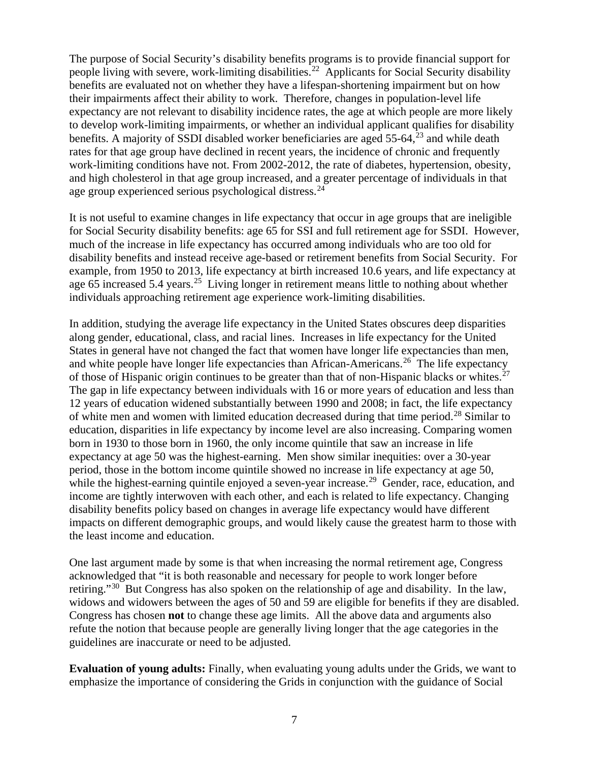The purpose of Social Security's disability benefits programs is to provide financial support for people living with severe, work-limiting disabilities.<sup>[22](#page-2-21)</sup> Applicants for Social Security disability benefits are evaluated not on whether they have a lifespan-shortening impairment but on how their impairments affect their ability to work. Therefore, changes in population-level life expectancy are not relevant to disability incidence rates, the age at which people are more likely to develop work-limiting impairments, or whether an individual applicant qualifies for disability benefits. A majority of SSDI disabled worker beneficiaries are aged  $55-64$ ,  $^{23}$  $^{23}$  $^{23}$  and while death rates for that age group have declined in recent years, the incidence of chronic and frequently work-limiting conditions have not. From 2002-2012, the rate of diabetes, hypertension, obesity, and high cholesterol in that age group increased, and a greater percentage of individuals in that age group experienced serious psychological distress.<sup>[24](#page-2-23)</sup>

It is not useful to examine changes in life expectancy that occur in age groups that are ineligible for Social Security disability benefits: age 65 for SSI and full retirement age for SSDI. However, much of the increase in life expectancy has occurred among individuals who are too old for disability benefits and instead receive age-based or retirement benefits from Social Security. For example, from 1950 to 2013, life expectancy at birth increased 10.6 years, and life expectancy at age 65 increased 5.4 years.<sup>25</sup> Living longer in retirement means little to nothing about whether individuals approaching retirement age experience work-limiting disabilities.

In addition, studying the average life expectancy in the United States obscures deep disparities along gender, educational, class, and racial lines. Increases in life expectancy for the United States in general have not changed the fact that women have longer life expectancies than men, and white people have longer life expectancies than African-Americans.<sup>[26](#page-2-25)</sup> The life expectancy of those of Hispanic origin continues to be greater than that of non-Hispanic blacks or whites.<sup>[27](#page-2-26)</sup> The gap in life expectancy between individuals with 16 or more years of education and less than 12 years of education widened substantially between 1990 and 2008; in fact, the life expectancy of white men and women with limited education decreased during that time period.[28](#page-2-27) Similar to education, disparities in life expectancy by income level are also increasing. Comparing women born in 1930 to those born in 1960, the only income quintile that saw an increase in life expectancy at age 50 was the highest-earning. Men show similar inequities: over a 30-year period, those in the bottom income quintile showed no increase in life expectancy at age 50, while the highest-earning quintile enjoyed a seven-year increase.<sup>29</sup> Gender, race, education, and income are tightly interwoven with each other, and each is related to life expectancy. Changing disability benefits policy based on changes in average life expectancy would have different impacts on different demographic groups, and would likely cause the greatest harm to those with the least income and education.

One last argument made by some is that when increasing the normal retirement age, Congress acknowledged that "it is both reasonable and necessary for people to work longer before retiring."[30](#page-3-1) But Congress has also spoken on the relationship of age and disability. In the law, widows and widowers between the ages of 50 and 59 are eligible for benefits if they are disabled. Congress has chosen **not** to change these age limits. All the above data and arguments also refute the notion that because people are generally living longer that the age categories in the guidelines are inaccurate or need to be adjusted.

**Evaluation of young adults:** Finally, when evaluating young adults under the Grids, we want to emphasize the importance of considering the Grids in conjunction with the guidance of Social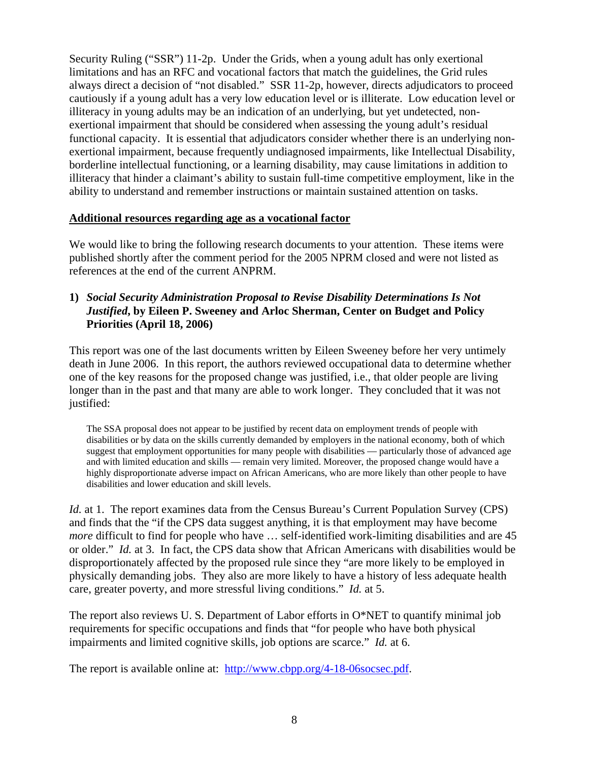Security Ruling ("SSR") 11-2p. Under the Grids, when a young adult has only exertional limitations and has an RFC and vocational factors that match the guidelines, the Grid rules always direct a decision of "not disabled." SSR 11-2p, however, directs adjudicators to proceed cautiously if a young adult has a very low education level or is illiterate. Low education level or illiteracy in young adults may be an indication of an underlying, but yet undetected, nonexertional impairment that should be considered when assessing the young adult's residual functional capacity. It is essential that adjudicators consider whether there is an underlying nonexertional impairment, because frequently undiagnosed impairments, like Intellectual Disability, borderline intellectual functioning, or a learning disability, may cause limitations in addition to illiteracy that hinder a claimant's ability to sustain full-time competitive employment, like in the ability to understand and remember instructions or maintain sustained attention on tasks.

## **Additional resources regarding age as a vocational factor**

We would like to bring the following research documents to your attention. These items were published shortly after the comment period for the 2005 NPRM closed and were not listed as references at the end of the current ANPRM.

**1)** *Social Security Administration Proposal to Revise Disability Determinations Is Not Justified***, by Eileen P. Sweeney and Arloc Sherman, Center on Budget and Policy Priorities (April 18, 2006)**

This report was one of the last documents written by Eileen Sweeney before her very untimely death in June 2006. In this report, the authors reviewed occupational data to determine whether one of the key reasons for the proposed change was justified, i.e., that older people are living longer than in the past and that many are able to work longer. They concluded that it was not justified:

The SSA proposal does not appear to be justified by recent data on employment trends of people with disabilities or by data on the skills currently demanded by employers in the national economy, both of which suggest that employment opportunities for many people with disabilities — particularly those of advanced age and with limited education and skills — remain very limited. Moreover, the proposed change would have a highly disproportionate adverse impact on African Americans, who are more likely than other people to have disabilities and lower education and skill levels.

*Id.* at 1. The report examines data from the Census Bureau's Current Population Survey (CPS) and finds that the "if the CPS data suggest anything, it is that employment may have become *more* difficult to find for people who have ... self-identified work-limiting disabilities and are 45 or older." *Id.* at 3. In fact, the CPS data show that African Americans with disabilities would be disproportionately affected by the proposed rule since they "are more likely to be employed in physically demanding jobs. They also are more likely to have a history of less adequate health care, greater poverty, and more stressful living conditions." *Id.* at 5.

The report also reviews U. S. Department of Labor efforts in O\*NET to quantify minimal job requirements for specific occupations and finds that "for people who have both physical impairments and limited cognitive skills, job options are scarce." *Id.* at 6.

The report is available online at: [http://www.cbpp.org/4-18-06socsec.pdf.](http://www.cbpp.org/4-18-06socsec.pdf)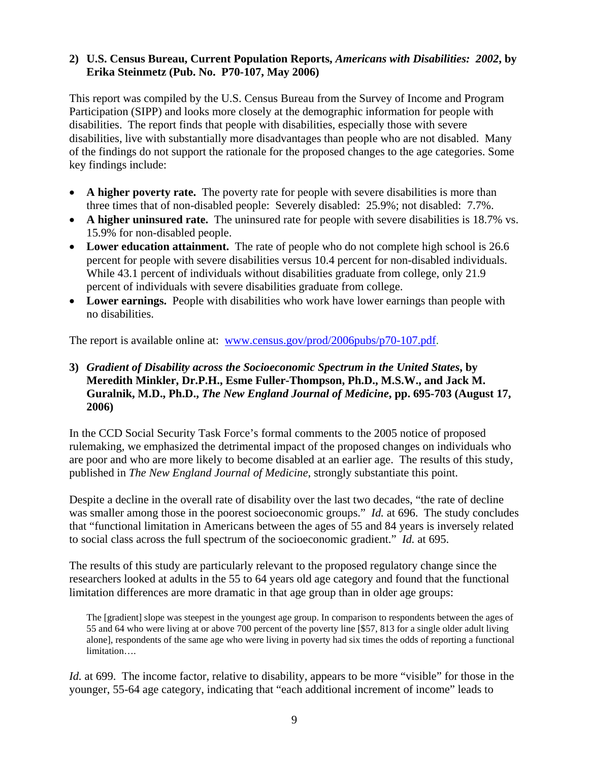## **2) U.S. Census Bureau, Current Population Reports,** *Americans with Disabilities: 2002***, by Erika Steinmetz (Pub. No. P70-107, May 2006)**

This report was compiled by the U.S. Census Bureau from the Survey of Income and Program Participation (SIPP) and looks more closely at the demographic information for people with disabilities. The report finds that people with disabilities, especially those with severe disabilities, live with substantially more disadvantages than people who are not disabled. Many of the findings do not support the rationale for the proposed changes to the age categories. Some key findings include:

- A **higher poverty rate.** The poverty rate for people with severe disabilities is more than three times that of non-disabled people: Severely disabled: 25.9%; not disabled: 7.7%.
- A higher uninsured rate. The uninsured rate for people with severe disabilities is 18.7% vs. 15.9% for non-disabled people.
- **Lower education attainment.** The rate of people who do not complete high school is 26.6 percent for people with severe disabilities versus 10.4 percent for non-disabled individuals. While 43.1 percent of individuals without disabilities graduate from college, only 21.9 percent of individuals with severe disabilities graduate from college.
- Lower earnings. People with disabilities who work have lower earnings than people with no disabilities.

The report is available online at: [www.census.gov/prod/2006pubs/p70-107.pdf.](http://www.census.gov/prod/2006pubs/p70-107.pdf)

## **3)** *Gradient of Disability across the Socioeconomic Spectrum in the United States***, by Meredith Minkler, Dr.P.H., Esme Fuller-Thompson, Ph.D., M.S.W., and Jack M. Guralnik, M.D., Ph.D.,** *The New England Journal of Medicine***, pp. 695-703 (August 17, 2006)**

In the CCD Social Security Task Force's formal comments to the 2005 notice of proposed rulemaking, we emphasized the detrimental impact of the proposed changes on individuals who are poor and who are more likely to become disabled at an earlier age. The results of this study, published in *The New England Journal of Medicine*, strongly substantiate this point.

Despite a decline in the overall rate of disability over the last two decades, "the rate of decline was smaller among those in the poorest socioeconomic groups." *Id.* at 696. The study concludes that "functional limitation in Americans between the ages of 55 and 84 years is inversely related to social class across the full spectrum of the socioeconomic gradient." *Id.* at 695.

The results of this study are particularly relevant to the proposed regulatory change since the researchers looked at adults in the 55 to 64 years old age category and found that the functional limitation differences are more dramatic in that age group than in older age groups:

The [gradient] slope was steepest in the youngest age group. In comparison to respondents between the ages of 55 and 64 who were living at or above 700 percent of the poverty line [\$57, 813 for a single older adult living alone], respondents of the same age who were living in poverty had six times the odds of reporting a functional limitation….

*Id.* at 699. The income factor, relative to disability, appears to be more "visible" for those in the younger, 55-64 age category, indicating that "each additional increment of income" leads to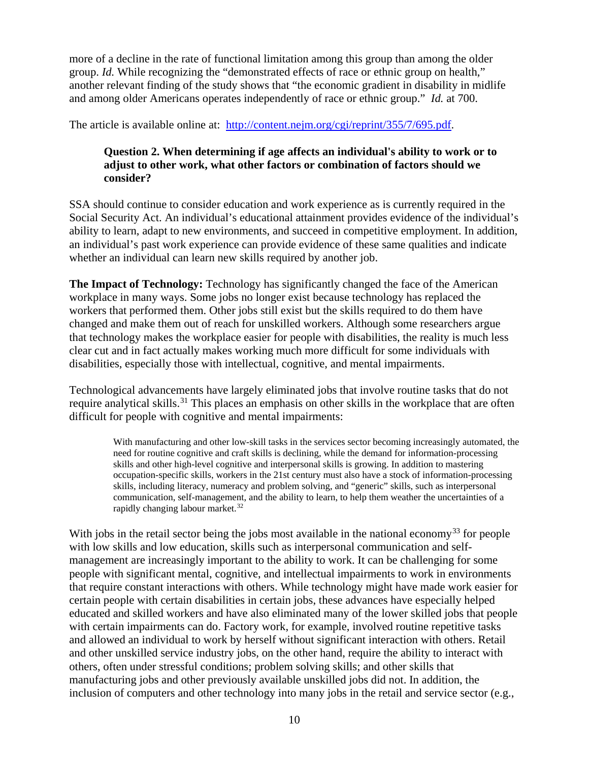more of a decline in the rate of functional limitation among this group than among the older group. *Id.* While recognizing the "demonstrated effects of race or ethnic group on health," another relevant finding of the study shows that "the economic gradient in disability in midlife and among older Americans operates independently of race or ethnic group." *Id.* at 700.

The article is available online at: [http://content.nejm.org/cgi/reprint/355/7/695.pdf.](http://content.nejm.org/cgi/reprint/355/7/695.pdf)

## **Question 2. When determining if age affects an individual's ability to work or to adjust to other work, what other factors or combination of factors should we consider?**

SSA should continue to consider education and work experience as is currently required in the Social Security Act. An individual's educational attainment provides evidence of the individual's ability to learn, adapt to new environments, and succeed in competitive employment. In addition, an individual's past work experience can provide evidence of these same qualities and indicate whether an individual can learn new skills required by another job.

**The Impact of Technology:** Technology has significantly changed the face of the American workplace in many ways. Some jobs no longer exist because technology has replaced the workers that performed them. Other jobs still exist but the skills required to do them have changed and make them out of reach for unskilled workers. Although some researchers argue that technology makes the workplace easier for people with disabilities, the reality is much less clear cut and in fact actually makes working much more difficult for some individuals with disabilities, especially those with intellectual, cognitive, and mental impairments.

Technological advancements have largely eliminated jobs that involve routine tasks that do not require analytical skills.<sup>[31](#page-3-2)</sup> This places an emphasis on other skills in the workplace that are often difficult for people with cognitive and mental impairments:

With manufacturing and other low-skill tasks in the services sector becoming increasingly automated, the need for routine cognitive and craft skills is declining, while the demand for information-processing skills and other high-level cognitive and interpersonal skills is growing. In addition to mastering occupation-specific skills, workers in the 21st century must also have a stock of information-processing skills, including literacy, numeracy and problem solving, and "generic" skills, such as interpersonal communication, self-management, and the ability to learn, to help them weather the uncertainties of a rapidly changing labour market.<sup>[32](#page-3-3)</sup>

With jobs in the retail sector being the jobs most available in the national economy<sup>[33](#page-3-4)</sup> for people with low skills and low education, skills such as interpersonal communication and selfmanagement are increasingly important to the ability to work. It can be challenging for some people with significant mental, cognitive, and intellectual impairments to work in environments that require constant interactions with others. While technology might have made work easier for certain people with certain disabilities in certain jobs, these advances have especially helped educated and skilled workers and have also eliminated many of the lower skilled jobs that people with certain impairments can do. Factory work, for example, involved routine repetitive tasks and allowed an individual to work by herself without significant interaction with others. Retail and other unskilled service industry jobs, on the other hand, require the ability to interact with others, often under stressful conditions; problem solving skills; and other skills that manufacturing jobs and other previously available unskilled jobs did not. In addition, the inclusion of computers and other technology into many jobs in the retail and service sector (e.g.,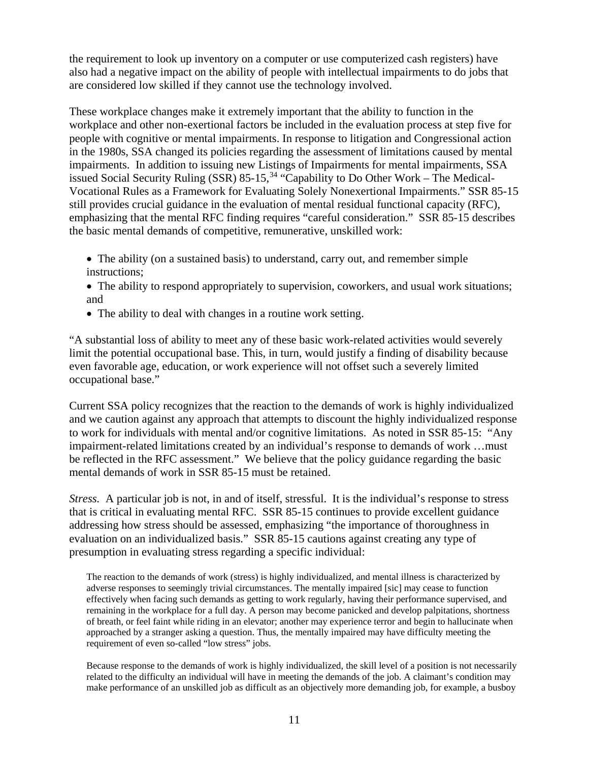the requirement to look up inventory on a computer or use computerized cash registers) have also had a negative impact on the ability of people with intellectual impairments to do jobs that are considered low skilled if they cannot use the technology involved.

These workplace changes make it extremely important that the ability to function in the workplace and other non-exertional factors be included in the evaluation process at step five for people with cognitive or mental impairments. In response to litigation and Congressional action in the 1980s, SSA changed its policies regarding the assessment of limitations caused by mental impairments. In addition to issuing new Listings of Impairments for mental impairments, SSA issued Social Security Ruling  $(SSR)$  85-15,<sup>[34](#page-3-5)</sup> "Capability to Do Other Work – The Medical-Vocational Rules as a Framework for Evaluating Solely Nonexertional Impairments." SSR 85-15 still provides crucial guidance in the evaluation of mental residual functional capacity (RFC), emphasizing that the mental RFC finding requires "careful consideration." SSR 85-15 describes the basic mental demands of competitive, remunerative, unskilled work:

- The ability (on a sustained basis) to understand, carry out, and remember simple instructions;
- The ability to respond appropriately to supervision, coworkers, and usual work situations; and
- The ability to deal with changes in a routine work setting.

"A substantial loss of ability to meet any of these basic work-related activities would severely limit the potential occupational base. This, in turn, would justify a finding of disability because even favorable age, education, or work experience will not offset such a severely limited occupational base."

Current SSA policy recognizes that the reaction to the demands of work is highly individualized and we caution against any approach that attempts to discount the highly individualized response to work for individuals with mental and/or cognitive limitations. As noted in SSR 85-15: "Any impairment-related limitations created by an individual's response to demands of work …must be reflected in the RFC assessment." We believe that the policy guidance regarding the basic mental demands of work in SSR 85-15 must be retained.

*Stress.*A particular job is not, in and of itself, stressful. It is the individual's response to stress that is critical in evaluating mental RFC. SSR 85-15 continues to provide excellent guidance addressing how stress should be assessed, emphasizing "the importance of thoroughness in evaluation on an individualized basis." SSR 85-15 cautions against creating any type of presumption in evaluating stress regarding a specific individual:

The reaction to the demands of work (stress) is highly individualized, and mental illness is characterized by adverse responses to seemingly trivial circumstances. The mentally impaired [sic] may cease to function effectively when facing such demands as getting to work regularly, having their performance supervised, and remaining in the workplace for a full day. A person may become panicked and develop palpitations, shortness of breath, or feel faint while riding in an elevator; another may experience terror and begin to hallucinate when approached by a stranger asking a question. Thus, the mentally impaired may have difficulty meeting the requirement of even so-called "low stress" jobs.

Because response to the demands of work is highly individualized, the skill level of a position is not necessarily related to the difficulty an individual will have in meeting the demands of the job. A claimant's condition may make performance of an unskilled job as difficult as an objectively more demanding job, for example, a busboy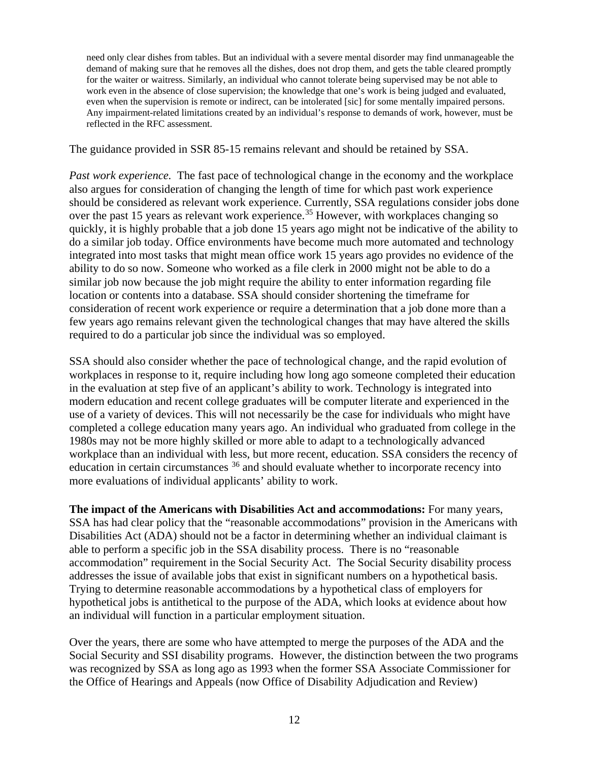need only clear dishes from tables. But an individual with a severe mental disorder may find unmanageable the demand of making sure that he removes all the dishes, does not drop them, and gets the table cleared promptly for the waiter or waitress. Similarly, an individual who cannot tolerate being supervised may be not able to work even in the absence of close supervision; the knowledge that one's work is being judged and evaluated, even when the supervision is remote or indirect, can be intolerated [sic] for some mentally impaired persons. Any impairment-related limitations created by an individual's response to demands of work, however, must be reflected in the RFC assessment.

The guidance provided in SSR 85-15 remains relevant and should be retained by SSA.

*Past work experience.* The fast pace of technological change in the economy and the workplace also argues for consideration of changing the length of time for which past work experience should be considered as relevant work experience. Currently, SSA regulations consider jobs done over the past 15 years as relevant work experience.[35](#page-3-6) However, with workplaces changing so quickly, it is highly probable that a job done 15 years ago might not be indicative of the ability to do a similar job today. Office environments have become much more automated and technology integrated into most tasks that might mean office work 15 years ago provides no evidence of the ability to do so now. Someone who worked as a file clerk in 2000 might not be able to do a similar job now because the job might require the ability to enter information regarding file location or contents into a database. SSA should consider shortening the timeframe for consideration of recent work experience or require a determination that a job done more than a few years ago remains relevant given the technological changes that may have altered the skills required to do a particular job since the individual was so employed.

SSA should also consider whether the pace of technological change, and the rapid evolution of workplaces in response to it, require including how long ago someone completed their education in the evaluation at step five of an applicant's ability to work. Technology is integrated into modern education and recent college graduates will be computer literate and experienced in the use of a variety of devices. This will not necessarily be the case for individuals who might have completed a college education many years ago. An individual who graduated from college in the 1980s may not be more highly skilled or more able to adapt to a technologically advanced workplace than an individual with less, but more recent, education. SSA considers the recency of education in certain circumstances [36](#page-3-7) and should evaluate whether to incorporate recency into more evaluations of individual applicants' ability to work.

**The impact of the Americans with Disabilities Act and accommodations:** For many years, SSA has had clear policy that the "reasonable accommodations" provision in the Americans with Disabilities Act (ADA) should not be a factor in determining whether an individual claimant is able to perform a specific job in the SSA disability process. There is no "reasonable accommodation" requirement in the Social Security Act. The Social Security disability process addresses the issue of available jobs that exist in significant numbers on a hypothetical basis. Trying to determine reasonable accommodations by a hypothetical class of employers for hypothetical jobs is antithetical to the purpose of the ADA, which looks at evidence about how an individual will function in a particular employment situation.

Over the years, there are some who have attempted to merge the purposes of the ADA and the Social Security and SSI disability programs. However, the distinction between the two programs was recognized by SSA as long ago as 1993 when the former SSA Associate Commissioner for the Office of Hearings and Appeals (now Office of Disability Adjudication and Review)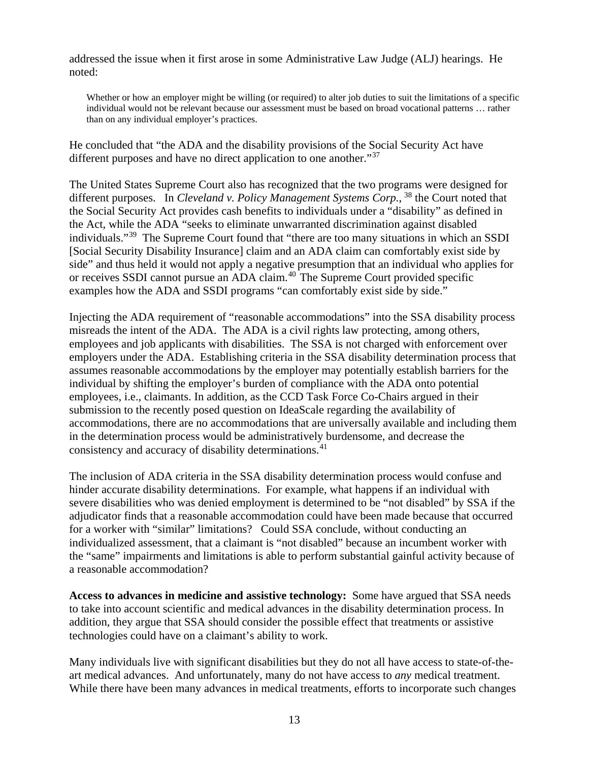addressed the issue when it first arose in some Administrative Law Judge (ALJ) hearings. He noted:

Whether or how an employer might be willing (or required) to alter job duties to suit the limitations of a specific individual would not be relevant because our assessment must be based on broad vocational patterns … rather than on any individual employer's practices.

He concluded that "the ADA and the disability provisions of the Social Security Act have different purposes and have no direct application to one another."<sup>[37](#page-3-8)</sup>

The United States Supreme Court also has recognized that the two programs were designed for different purposes. In *Cleveland v. Policy Management Systems Corp.*, <sup>[38](#page-3-9)</sup> the Court noted that the Social Security Act provides cash benefits to individuals under a "disability" as defined in the Act, while the ADA "seeks to eliminate unwarranted discrimination against disabled individuals."[39](#page-3-10) The Supreme Court found that "there are too many situations in which an SSDI [Social Security Disability Insurance] claim and an ADA claim can comfortably exist side by side" and thus held it would not apply a negative presumption that an individual who applies for or receives SSDI cannot pursue an ADA claim.[40](#page-3-11) The Supreme Court provided specific examples how the ADA and SSDI programs "can comfortably exist side by side."

Injecting the ADA requirement of "reasonable accommodations" into the SSA disability process misreads the intent of the ADA. The ADA is a civil rights law protecting, among others, employees and job applicants with disabilities. The SSA is not charged with enforcement over employers under the ADA. Establishing criteria in the SSA disability determination process that assumes reasonable accommodations by the employer may potentially establish barriers for the individual by shifting the employer's burden of compliance with the ADA onto potential employees, i.e., claimants. In addition, as the CCD Task Force Co-Chairs argued in their submission to the recently posed question on IdeaScale regarding the availability of accommodations, there are no accommodations that are universally available and including them in the determination process would be administratively burdensome, and decrease the consistency and accuracy of disability determinations.<sup>[41](#page-3-12)</sup>

The inclusion of ADA criteria in the SSA disability determination process would confuse and hinder accurate disability determinations. For example, what happens if an individual with severe disabilities who was denied employment is determined to be "not disabled" by SSA if the adjudicator finds that a reasonable accommodation could have been made because that occurred for a worker with "similar" limitations? Could SSA conclude, without conducting an individualized assessment, that a claimant is "not disabled" because an incumbent worker with the "same" impairments and limitations is able to perform substantial gainful activity because of a reasonable accommodation?

**Access to advances in medicine and assistive technology:** Some have argued that SSA needs to take into account scientific and medical advances in the disability determination process. In addition, they argue that SSA should consider the possible effect that treatments or assistive technologies could have on a claimant's ability to work.

Many individuals live with significant disabilities but they do not all have access to state-of-theart medical advances. And unfortunately, many do not have access to *any* medical treatment. While there have been many advances in medical treatments, efforts to incorporate such changes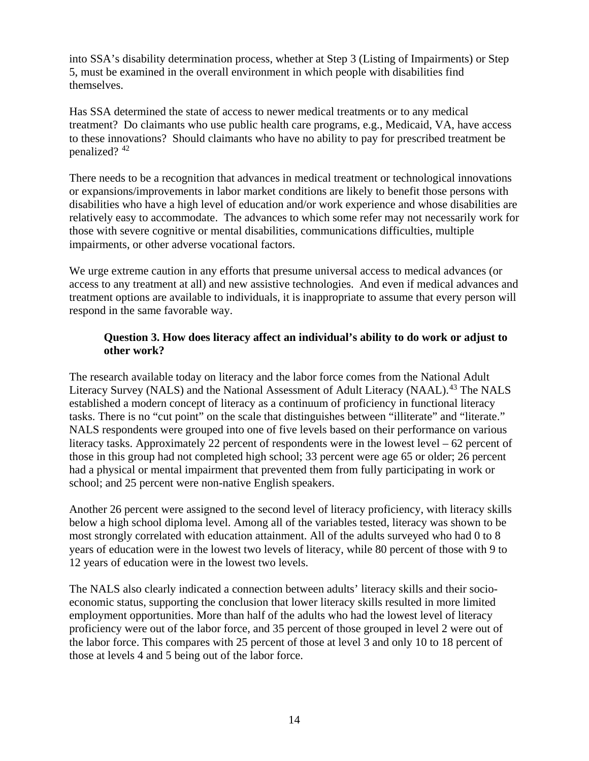into SSA's disability determination process, whether at Step 3 (Listing of Impairments) or Step 5, must be examined in the overall environment in which people with disabilities find themselves.

Has SSA determined the state of access to newer medical treatments or to any medical treatment? Do claimants who use public health care programs, e.g., Medicaid, VA, have access to these innovations? Should claimants who have no ability to pay for prescribed treatment be penalized? [42](#page-3-13)

There needs to be a recognition that advances in medical treatment or technological innovations or expansions/improvements in labor market conditions are likely to benefit those persons with disabilities who have a high level of education and/or work experience and whose disabilities are relatively easy to accommodate. The advances to which some refer may not necessarily work for those with severe cognitive or mental disabilities, communications difficulties, multiple impairments, or other adverse vocational factors.

We urge extreme caution in any efforts that presume universal access to medical advances (or access to any treatment at all) and new assistive technologies. And even if medical advances and treatment options are available to individuals, it is inappropriate to assume that every person will respond in the same favorable way.

# **Question 3. How does literacy affect an individual's ability to do work or adjust to other work?**

The research available today on literacy and the labor force comes from the National Adult Literacy Survey (NALS) and the National Assessment of Adult Literacy (NAAL).<sup>[43](#page-3-14)</sup> The NALS established a modern concept of literacy as a continuum of proficiency in functional literacy tasks. There is no "cut point" on the scale that distinguishes between "illiterate" and "literate." NALS respondents were grouped into one of five levels based on their performance on various literacy tasks. Approximately 22 percent of respondents were in the lowest level – 62 percent of those in this group had not completed high school; 33 percent were age 65 or older; 26 percent had a physical or mental impairment that prevented them from fully participating in work or school; and 25 percent were non-native English speakers.

Another 26 percent were assigned to the second level of literacy proficiency, with literacy skills below a high school diploma level. Among all of the variables tested, literacy was shown to be most strongly correlated with education attainment. All of the adults surveyed who had 0 to 8 years of education were in the lowest two levels of literacy, while 80 percent of those with 9 to 12 years of education were in the lowest two levels.

The NALS also clearly indicated a connection between adults' literacy skills and their socioeconomic status, supporting the conclusion that lower literacy skills resulted in more limited employment opportunities. More than half of the adults who had the lowest level of literacy proficiency were out of the labor force, and 35 percent of those grouped in level 2 were out of the labor force. This compares with 25 percent of those at level 3 and only 10 to 18 percent of those at levels 4 and 5 being out of the labor force.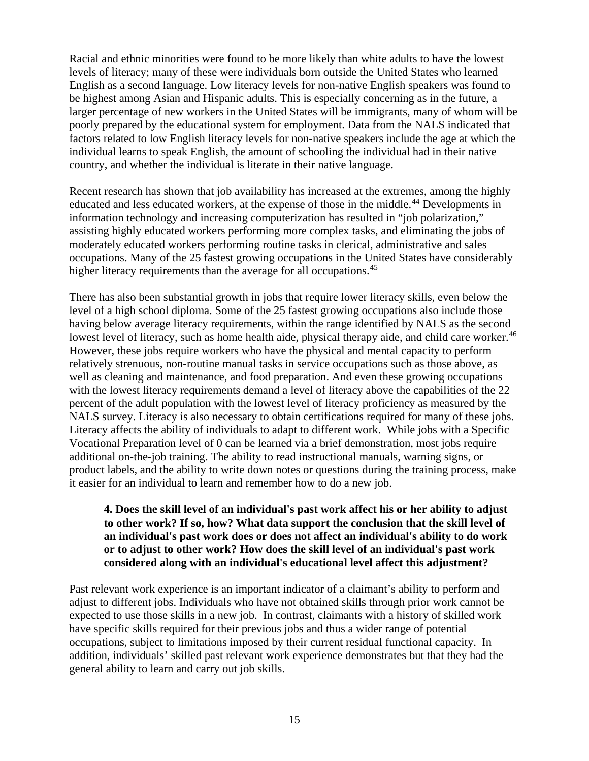Racial and ethnic minorities were found to be more likely than white adults to have the lowest levels of literacy; many of these were individuals born outside the United States who learned English as a second language. Low literacy levels for non-native English speakers was found to be highest among Asian and Hispanic adults. This is especially concerning as in the future, a larger percentage of new workers in the United States will be immigrants, many of whom will be poorly prepared by the educational system for employment. Data from the NALS indicated that factors related to low English literacy levels for non-native speakers include the age at which the individual learns to speak English, the amount of schooling the individual had in their native country, and whether the individual is literate in their native language.

Recent research has shown that job availability has increased at the extremes, among the highly educated and less educated workers, at the expense of those in the middle.<sup>[44](#page-3-15)</sup> Developments in information technology and increasing computerization has resulted in "job polarization," assisting highly educated workers performing more complex tasks, and eliminating the jobs of moderately educated workers performing routine tasks in clerical, administrative and sales occupations. Many of the 25 fastest growing occupations in the United States have considerably higher literacy requirements than the average for all occupations.<sup>[45](#page-3-16)</sup>

There has also been substantial growth in jobs that require lower literacy skills, even below the level of a high school diploma. Some of the 25 fastest growing occupations also include those having below average literacy requirements, within the range identified by NALS as the second lowest level of literacy, such as home health aide, physical therapy aide, and child care worker.<sup>[46](#page-3-17)</sup> However, these jobs require workers who have the physical and mental capacity to perform relatively strenuous, non-routine manual tasks in service occupations such as those above, as well as cleaning and maintenance, and food preparation. And even these growing occupations with the lowest literacy requirements demand a level of literacy above the capabilities of the 22 percent of the adult population with the lowest level of literacy proficiency as measured by the NALS survey. Literacy is also necessary to obtain certifications required for many of these jobs. Literacy affects the ability of individuals to adapt to different work. While jobs with a Specific Vocational Preparation level of 0 can be learned via a brief demonstration, most jobs require additional on-the-job training. The ability to read instructional manuals, warning signs, or product labels, and the ability to write down notes or questions during the training process, make it easier for an individual to learn and remember how to do a new job.

## **4. Does the skill level of an individual's past work affect his or her ability to adjust to other work? If so, how? What data support the conclusion that the skill level of an individual's past work does or does not affect an individual's ability to do work or to adjust to other work? How does the skill level of an individual's past work considered along with an individual's educational level affect this adjustment?**

Past relevant work experience is an important indicator of a claimant's ability to perform and adjust to different jobs. Individuals who have not obtained skills through prior work cannot be expected to use those skills in a new job. In contrast, claimants with a history of skilled work have specific skills required for their previous jobs and thus a wider range of potential occupations, subject to limitations imposed by their current residual functional capacity. In addition, individuals' skilled past relevant work experience demonstrates but that they had the general ability to learn and carry out job skills.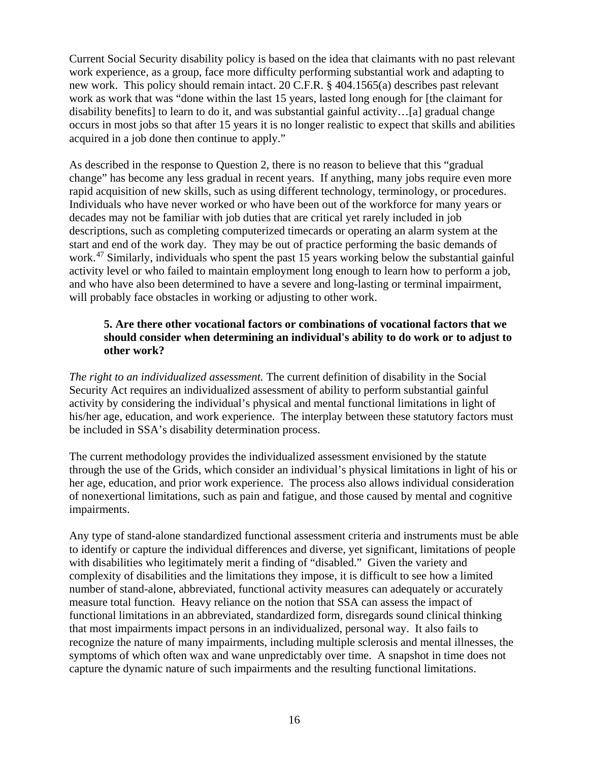Current Social Security disability policy is based on the idea that claimants with no past relevant work experience, as a group, face more difficulty performing substantial work and adapting to new work. This policy should remain intact. 20 C.F.R. § 404.1565(a) describes past relevant work as work that was "done within the last 15 years, lasted long enough for [the claimant for disability benefits] to learn to do it, and was substantial gainful activity…[a] gradual change occurs in most jobs so that after 15 years it is no longer realistic to expect that skills and abilities acquired in a job done then continue to apply."

As described in the response to Question 2, there is no reason to believe that this "gradual change" has become any less gradual in recent years. If anything, many jobs require even more rapid acquisition of new skills, such as using different technology, terminology, or procedures. Individuals who have never worked or who have been out of the workforce for many years or decades may not be familiar with job duties that are critical yet rarely included in job descriptions, such as completing computerized timecards or operating an alarm system at the start and end of the work day. They may be out of practice performing the basic demands of work.<sup>[47](#page-3-18)</sup> Similarly, individuals who spent the past 15 years working below the substantial gainful activity level or who failed to maintain employment long enough to learn how to perform a job, and who have also been determined to have a severe and long-lasting or terminal impairment, will probably face obstacles in working or adjusting to other work.

# **5. Are there other vocational factors or combinations of vocational factors that we should consider when determining an individual's ability to do work or to adjust to other work?**

*The right to an individualized assessment.* The current definition of disability in the Social Security Act requires an individualized assessment of ability to perform substantial gainful activity by considering the individual's physical and mental functional limitations in light of his/her age, education, and work experience. The interplay between these statutory factors must be included in SSA's disability determination process.

The current methodology provides the individualized assessment envisioned by the statute through the use of the Grids, which consider an individual's physical limitations in light of his or her age, education, and prior work experience. The process also allows individual consideration of nonexertional limitations, such as pain and fatigue, and those caused by mental and cognitive impairments.

Any type of stand-alone standardized functional assessment criteria and instruments must be able to identify or capture the individual differences and diverse, yet significant, limitations of people with disabilities who legitimately merit a finding of "disabled." Given the variety and complexity of disabilities and the limitations they impose, it is difficult to see how a limited number of stand-alone, abbreviated, functional activity measures can adequately or accurately measure total function. Heavy reliance on the notion that SSA can assess the impact of functional limitations in an abbreviated, standardized form, disregards sound clinical thinking that most impairments impact persons in an individualized, personal way. It also fails to recognize the nature of many impairments, including multiple sclerosis and mental illnesses, the symptoms of which often wax and wane unpredictably over time. A snapshot in time does not capture the dynamic nature of such impairments and the resulting functional limitations.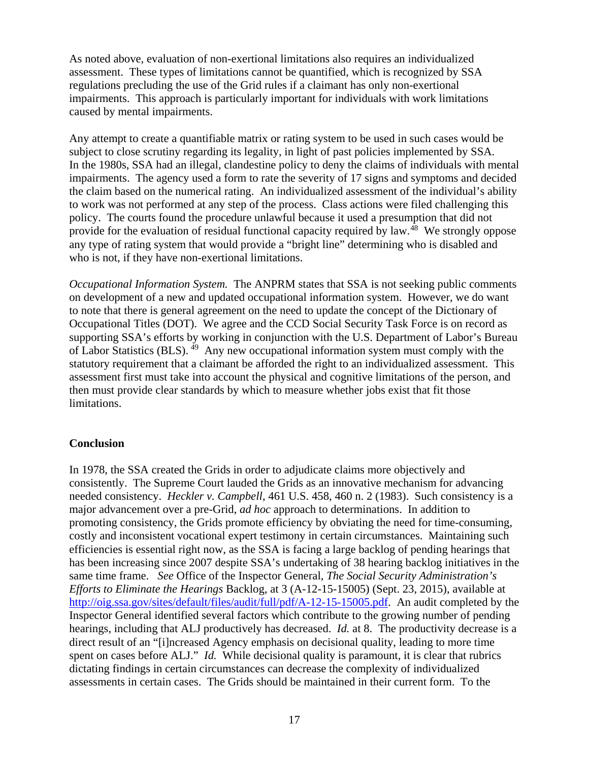As noted above, evaluation of non-exertional limitations also requires an individualized assessment. These types of limitations cannot be quantified, which is recognized by SSA regulations precluding the use of the Grid rules if a claimant has only non-exertional impairments. This approach is particularly important for individuals with work limitations caused by mental impairments.

Any attempt to create a quantifiable matrix or rating system to be used in such cases would be subject to close scrutiny regarding its legality, in light of past policies implemented by SSA. In the 1980s, SSA had an illegal, clandestine policy to deny the claims of individuals with mental impairments. The agency used a form to rate the severity of 17 signs and symptoms and decided the claim based on the numerical rating. An individualized assessment of the individual's ability to work was not performed at any step of the process. Class actions were filed challenging this policy. The courts found the procedure unlawful because it used a presumption that did not provide for the evaluation of residual functional capacity required by law.<sup>48</sup> We strongly oppose any type of rating system that would provide a "bright line" determining who is disabled and who is not, if they have non-exertional limitations.

*Occupational Information System.*The ANPRM states that SSA is not seeking public comments on development of a new and updated occupational information system. However, we do want to note that there is general agreement on the need to update the concept of the Dictionary of Occupational Titles (DOT). We agree and the CCD Social Security Task Force is on record as supporting SSA's efforts by working in conjunction with the U.S. Department of Labor's Bureau of Labor Statistics (BLS).  $^{49}$  Any new occupational information system must comply with the statutory requirement that a claimant be afforded the right to an individualized assessment. This assessment first must take into account the physical and cognitive limitations of the person, and then must provide clear standards by which to measure whether jobs exist that fit those limitations.

#### **Conclusion**

In 1978, the SSA created the Grids in order to adjudicate claims more objectively and consistently. The Supreme Court lauded the Grids as an innovative mechanism for advancing needed consistency. *Heckler v. Campbell*, 461 U.S. 458, 460 n. 2 (1983). Such consistency is a major advancement over a pre-Grid, *ad hoc* approach to determinations. In addition to promoting consistency, the Grids promote efficiency by obviating the need for time-consuming, costly and inconsistent vocational expert testimony in certain circumstances. Maintaining such efficiencies is essential right now, as the SSA is facing a large backlog of pending hearings that has been increasing since 2007 despite SSA's undertaking of 38 hearing backlog initiatives in the same time frame. *See* Office of the Inspector General, *The Social Security Administration's Efforts to Eliminate the Hearings* Backlog, at 3 (A-12-15-15005) (Sept. 23, 2015), available at [http://oig.ssa.gov/sites/default/files/audit/full/pdf/A-12-15-15005.pdf.](http://oig.ssa.gov/sites/default/files/audit/full/pdf/A-12-15-15005.pdf) An audit completed by the Inspector General identified several factors which contribute to the growing number of pending hearings, including that ALJ productively has decreased. *Id.* at 8. The productivity decrease is a direct result of an "[i]ncreased Agency emphasis on decisional quality, leading to more time spent on cases before ALJ." *Id.* While decisional quality is paramount, it is clear that rubrics dictating findings in certain circumstances can decrease the complexity of individualized assessments in certain cases. The Grids should be maintained in their current form. To the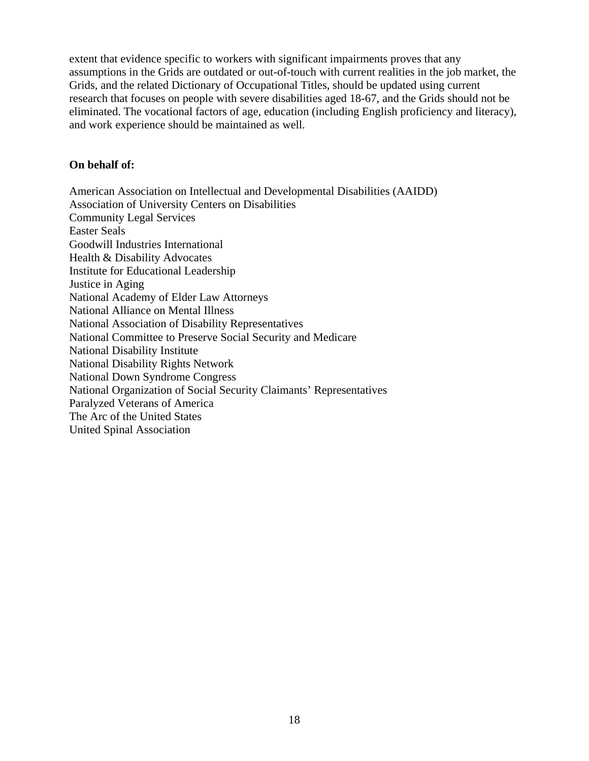extent that evidence specific to workers with significant impairments proves that any assumptions in the Grids are outdated or out-of-touch with current realities in the job market, the Grids, and the related Dictionary of Occupational Titles, should be updated using current research that focuses on people with severe disabilities aged 18-67, and the Grids should not be eliminated. The vocational factors of age, education (including English proficiency and literacy), and work experience should be maintained as well.

#### **On behalf of:**

American Association on Intellectual and Developmental Disabilities (AAIDD) Association of University Centers on Disabilities Community Legal Services Easter Seals Goodwill Industries International Health & Disability Advocates Institute for Educational Leadership Justice in Aging National Academy of Elder Law Attorneys National Alliance on Mental Illness National Association of Disability Representatives National Committee to Preserve Social Security and Medicare National Disability Institute National Disability Rights Network National Down Syndrome Congress National Organization of Social Security Claimants' Representatives Paralyzed Veterans of America The Arc of the United States United Spinal Association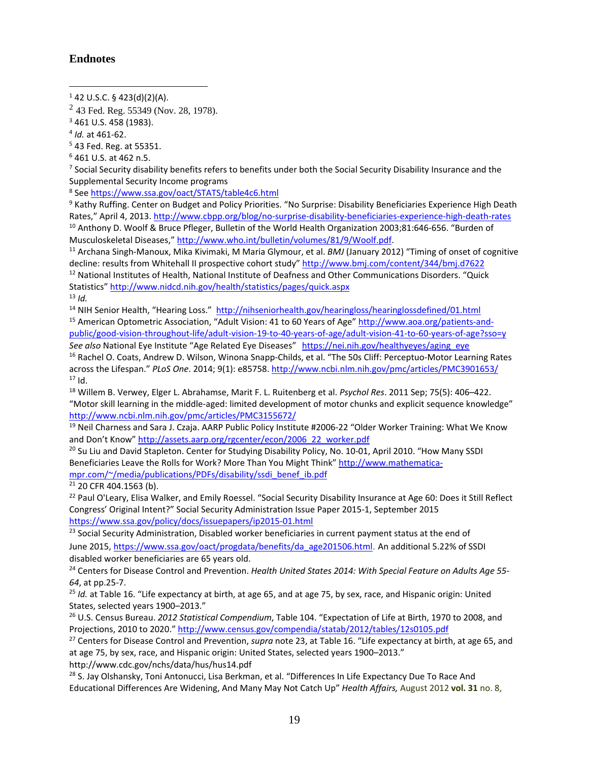#### **Endnotes**

 $\overline{a}$ 

<sup>5</sup> 43 Fed. Reg. at 55351.

<sup>7</sup> Social Security disability benefits refers to benefits under both the Social Security Disability Insurance and the Supplemental Security Income programs

<sup>8</sup> Se[e https://www.ssa.gov/oact/STATS/table4c6.html](https://www.ssa.gov/oact/STATS/table4c6.html)

<sup>9</sup> Kathy Ruffing. Center on Budget and Policy Priorities. "No Surprise: Disability Beneficiaries Experience High Death Rates," April 4, 2013[. http://www.cbpp.org/blog/no-surprise-disability-beneficiaries-experience-high-death-rates](http://www.cbpp.org/blog/no-surprise-disability-beneficiaries-experience-high-death-rates) <sup>10</sup> Anthony D. Woolf & Bruce Pfleger, Bulletin of the World Health Organization 2003;81:646-656. "Burden of Musculoskeletal Diseases," http://www.who.int/bulletin/volumes/81/9/Woolf.pdf.<br><sup>11</sup> Archana Singh-Manoux, Mika Kivimaki, M Maria Glymour, et al. *BMJ* (January 2012) "Timing of onset of cognitive

decline: results from Whitehall II prospective cohort study[" http://www.bmj.com/content/344/bmj.d7622](http://www.bmj.com/content/344/bmj.d7622)

<sup>12</sup> National Institutes of Health, National Institute of Deafness and Other Communications Disorders. "Quick Statistics[" http://www.nidcd.nih.gov/health/statistics/pages/quick.aspx](http://www.nidcd.nih.gov/health/statistics/pages/quick.aspx)

 $13$  *Id.* 

<sup>14</sup> NIH Senior Health, "Hearing Loss." <http://nihseniorhealth.gov/hearingloss/hearinglossdefined/01.html> <sup>15</sup> American Optometric Association, "Adult Vision: 41 to 60 Years of Age[" http://www.aoa.org/patients-and](http://www.aoa.org/patients-and-public/good-vision-throughout-life/adult-vision-19-to-40-years-of-age/adult-vision-41-to-60-years-of-age?sso=y)[public/good-vision-throughout-life/adult-vision-19-to-40-years-of-age/adult-vision-41-to-60-years-of-age?sso=y](http://www.aoa.org/patients-and-public/good-vision-throughout-life/adult-vision-19-to-40-years-of-age/adult-vision-41-to-60-years-of-age?sso=y)

See also National Eye Institute "Age Related Eye Diseases" https://nei.nih.gov/healthyeyes/aging\_eye <sup>16</sup> [Rachel O. Coats,](http://www.ncbi.nlm.nih.gov/pubmed/?term=Coats%20RO%5Bauth%5D) [Andrew D. Wilson,](http://www.ncbi.nlm.nih.gov/pubmed/?term=Wilson%20AD%5Bauth%5D) [Winona Snapp-Childs,](http://www.ncbi.nlm.nih.gov/pubmed/?term=Snapp-Childs%20W%5Bauth%5D) et al. "The 50s Cliff: Perceptuo-Motor Learning Rates across the Lifespan." *PLoS One*. 2014; 9(1): e85758[. http://www.ncbi.nlm.nih.gov/pmc/articles/PMC3901653/](http://www.ncbi.nlm.nih.gov/pmc/articles/PMC3901653/)  $17$  Id.

<sup>18</sup> Willem B. Verwey, Elger L. Abrahamse, Marit F. L. Ruitenberg et al. *Psychol Res*. 2011 Sep; 75(5): 406–422. "Motor skill learning in the middle-aged: limited development of motor chunks and explicit sequence knowledge" <http://www.ncbi.nlm.nih.gov/pmc/articles/PMC3155672/>

<sup>19</sup> Neil Charness and Sara J. Czaja. AARP Public Policy Institute #2006-22 "Older Worker Training: What We Know and Don't Know[" http://assets.aarp.org/rgcenter/econ/2006\\_22\\_worker.pdf](http://assets.aarp.org/rgcenter/econ/2006_22_worker.pdf)

<sup>20</sup> Su Liu and David Stapleton. Center for Studying Disability Policy, No. 10-01, April 2010. "How Many SSDI Beneficiaries Leave the Rolls for Work? More Than You Might Think" [http://www.mathematica](http://www.mathematica-mpr.com/%7E/media/publications/PDFs/disability/ssdi_benef_ib.pdf)[mpr.com/~/media/publications/PDFs/disability/ssdi\\_benef\\_ib.pdf](http://www.mathematica-mpr.com/%7E/media/publications/PDFs/disability/ssdi_benef_ib.pdf)

<sup>21</sup> 20 CFR 404.1563 (b).

<sup>22</sup> Paul O'Leary, Elisa Walker, and Emily Roessel. "Social Security Disability Insurance at Age 60: Does it Still Reflect Congress' Original Intent?" Social Security Administration Issue Paper 2015-1, September 2015 <https://www.ssa.gov/policy/docs/issuepapers/ip2015-01.html>

<sup>23</sup> Social Security Administration, [Disabled worker beneficiaries](https://www.ssa.gov/oact/progdata/types.html) in current payment status at the end of June 2015, [https://www.ssa.gov/oact/progdata/benefits/da\\_age201506.html](https://www.ssa.gov/oact/progdata/benefits/da_age201506.html). An additional 5.22% of SSDI disabled worker beneficiaries are 65 years old.

<sup>24</sup> Centers for Disease Control and Prevention. *Health United States 2014: With Special Feature on Adults Age 55- 64*, at pp.25-7.

<sup>25</sup> *Id.* at Table 16. "Life expectancy at birth, at age 65, and at age 75, by sex, race, and Hispanic origin: United States, selected years 1900–2013."

<sup>26</sup> U.S. Census Bureau. *2012 Statistical Compendium*, Table 104. "Expectation of Life at Birth, 1970 to 2008, and Projections, 2010 to 2020."<http://www.census.gov/compendia/statab/2012/tables/12s0105.pdf>

<sup>27</sup> Centers for Disease Control and Prevention, *supra* note 23, at Table 16. "Life expectancy at birth, at age 65, and at age 75, by sex, race, and Hispanic origin: United States, selected years 1900–2013." http://www.cdc.gov/nchs/data/hus/hus14.pdf

<sup>28</sup> S. Jay Olshansky, Toni Antonucci, Lisa Berkman, et al. "Differences In Life Expectancy Due To Race And Educational Differences Are Widening, And Many May Not Catch Up" *Health Affairs,* August 2012 **vol. 31** no. 8,

 $1$  42 U.S.C. § 423(d)(2)(A).

 $2$  43 Fed. Reg. 55349 (Nov. 28, 1978).

<sup>3</sup> 461 U.S. 458 (1983).

<sup>4</sup> *Id.* at 461-62.

<sup>6</sup> 461 U.S. at 462 n.5.